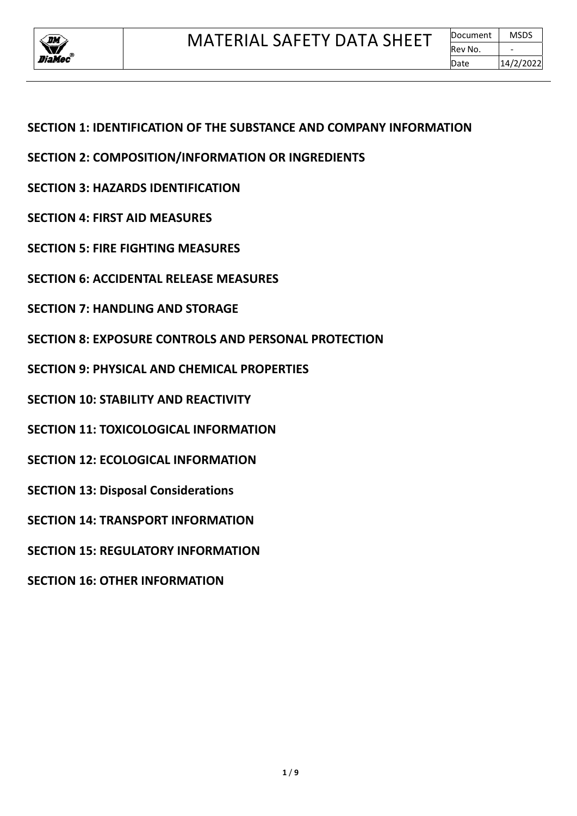

# **SECTION 1: IDENTIFICATION OF THE SUBSTANCE AND COMPANY INFORMATION**

- **SECTION 2: COMPOSITION/INFORMATION OR INGREDIENTS**
- **SECTION 3: HAZARDS IDENTIFICATION**
- **SECTION 4: FIRST AID MEASURES**
- **SECTION 5: FIRE FIGHTING MEASURES**
- **SECTION 6: ACCIDENTAL RELEASE MEASURES**
- **SECTION 7: HANDLING AND STORAGE**
- **SECTION 8: EXPOSURE CONTROLS AND PERSONAL PROTECTION**
- **SECTION 9: PHYSICAL AND CHEMICAL PROPERTIES**
- **SECTION 10: STABILITY AND REACTIVITY**
- **SECTION 11: TOXICOLOGICAL INFORMATION**
- **SECTION 12: ECOLOGICAL INFORMATION**
- **SECTION 13: Disposal Considerations**
- **SECTION 14: TRANSPORT INFORMATION**
- **SECTION 15: REGULATORY INFORMATION**
- **SECTION 16: OTHER INFORMATION**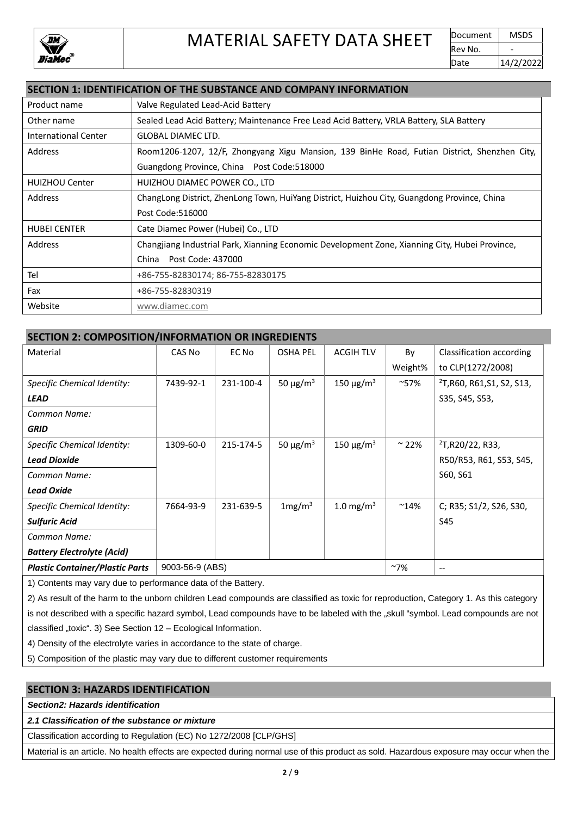

### **SECTION 1: IDENTIFICATION OF THE SUBSTANCE AND COMPANY INFORMATION**

| Product name          | Valve Regulated Lead-Acid Battery                                                              |
|-----------------------|------------------------------------------------------------------------------------------------|
| Other name            | Sealed Lead Acid Battery; Maintenance Free Lead Acid Battery, VRLA Battery, SLA Battery        |
| International Center  | <b>GLOBAL DIAMEC LTD.</b>                                                                      |
| Address               | Room1206-1207, 12/F, Zhongyang Xigu Mansion, 139 BinHe Road, Futian District, Shenzhen City,   |
|                       | Guangdong Province, China Post Code: 518000                                                    |
| <b>HUIZHOU Center</b> | HUIZHOU DIAMEC POWER CO., LTD                                                                  |
| Address               | ChangLong District, ZhenLong Town, HuiYang District, Huizhou City, Guangdong Province, China   |
|                       | Post Code:516000                                                                               |
| <b>HUBEI CENTER</b>   | Cate Diamec Power (Hubei) Co., LTD                                                             |
| Address               | Changjiang Industrial Park, Xianning Economic Development Zone, Xianning City, Hubei Province, |
|                       | Post Code: 437000<br>China                                                                     |
| Tel                   | +86-755-82830174; 86-755-82830175                                                              |
| Fax                   | +86-755-82830319                                                                               |
| Website               | www.diamec.com                                                                                 |

#### **SECTION 2: COMPOSITION/INFORMATION OR INGREDIENTS**

| Material                               | CAS No          | EC No     | <b>OSHA PEL</b>           | <b>ACGIH TLV</b>           | By            | Classification according               |
|----------------------------------------|-----------------|-----------|---------------------------|----------------------------|---------------|----------------------------------------|
|                                        |                 |           |                           |                            | Weight%       | to CLP(1272/2008)                      |
| Specific Chemical Identity:            | 7439-92-1       | 231-100-4 | 50 $\mu$ g/m <sup>3</sup> | 150 $\mu$ g/m <sup>3</sup> | $~157\%$      | <sup>2</sup> T, R60, R61, S1, S2, S13, |
| <b>LEAD</b>                            |                 |           |                           |                            |               | S35, S45, S53,                         |
| Common Name:                           |                 |           |                           |                            |               |                                        |
| <b>GRID</b>                            |                 |           |                           |                            |               |                                        |
| Specific Chemical Identity:            | 1309-60-0       | 215-174-5 | 50 $\mu$ g/m <sup>3</sup> | 150 $\mu$ g/m <sup>3</sup> | $\sim$ 22%    | 2T, R20/22, R33,                       |
| <b>Lead Dioxide</b>                    |                 |           |                           |                            |               | R50/R53, R61, S53, S45,                |
| Common Name:                           |                 |           |                           |                            |               | S60, S61                               |
| <b>Lead Oxide</b>                      |                 |           |                           |                            |               |                                        |
| Specific Chemical Identity:            | 7664-93-9       | 231-639-5 | 1mg/m <sup>3</sup>        | 1.0 mg/m <sup>3</sup>      | $^{\sim}14\%$ | C; R35; S1/2, S26, S30,                |
| <b>Sulfuric Acid</b>                   |                 |           |                           |                            |               | S45                                    |
| Common Name:                           |                 |           |                           |                            |               |                                        |
| <b>Battery Electrolyte (Acid)</b>      |                 |           |                           |                            |               |                                        |
| <b>Plastic Container/Plastic Parts</b> | 9003-56-9 (ABS) |           |                           |                            | $~\sim$ 7%    | $- -$                                  |

1) Contents may vary due to performance data of the Battery.

2) As result of the harm to the unborn children Lead compounds are classified as toxic for reproduction, Category 1. As this category is not described with a specific hazard symbol, Lead compounds have to be labeled with the "skull "symbol. Lead compounds are not classified "toxic". 3) See Section  $12 -$  Ecological Information.

4) Density of the electrolyte varies in accordance to the state of charge.

5) Composition of the plastic may vary due to different customer requirements

### **SECTION 3: HAZARDS IDENTIFICATION**

*Section2: Hazards identification*

*2.1 Classification of the substance or mixture*

Classification according to Regulation (EC) No 1272/2008 [CLP/GHS]

Material is an article. No health effects are expected during normal use of this product as sold. Hazardous exposure may occur when the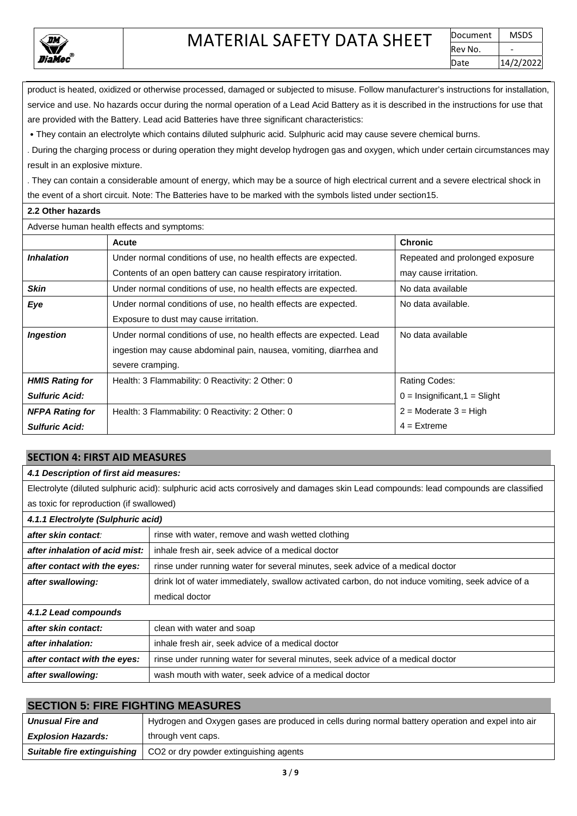

product is heated, oxidized or otherwise processed, damaged or subjected to misuse. Follow manufacturer's instructions for installation, service and use. No hazards occur during the normal operation of a Lead Acid Battery as it is described in the instructions for use that are provided with the Battery. Lead acid Batteries have three significant characteristics:

• They contain an electrolyte which contains diluted sulphuric acid. Sulphuric acid may cause severe chemical burns.

․During the charging process or during operation they might develop hydrogen gas and oxygen, which under certain circumstances may result in an explosive mixture.

․They can contain a considerable amount of energy, which may be a source of high electrical current and a severe electrical shock in the event of a short circuit. Note: The Batteries have to be marked with the symbols listed under section15.

#### **2.2 Other hazards**

| Adverse human health effects and symptoms: |                                                                      |                                 |  |  |  |
|--------------------------------------------|----------------------------------------------------------------------|---------------------------------|--|--|--|
|                                            | Acute                                                                | <b>Chronic</b>                  |  |  |  |
| <b>Inhalation</b>                          | Under normal conditions of use, no health effects are expected.      | Repeated and prolonged exposure |  |  |  |
|                                            | Contents of an open battery can cause respiratory irritation.        | may cause irritation.           |  |  |  |
| <b>Skin</b>                                | Under normal conditions of use, no health effects are expected.      | No data available               |  |  |  |
| Eye                                        | Under normal conditions of use, no health effects are expected.      | No data available.              |  |  |  |
|                                            | Exposure to dust may cause irritation.                               |                                 |  |  |  |
| <b>Ingestion</b>                           | Under normal conditions of use, no health effects are expected. Lead | No data available               |  |  |  |
|                                            | ingestion may cause abdominal pain, nausea, vomiting, diarrhea and   |                                 |  |  |  |
|                                            | severe cramping.                                                     |                                 |  |  |  |
| <b>HMIS Rating for</b>                     | Health: 3 Flammability: 0 Reactivity: 2 Other: 0                     | Rating Codes:                   |  |  |  |
| <b>Sulfuric Acid:</b>                      |                                                                      | $0 =$ Insignificant, 1 = Slight |  |  |  |
| <b>NFPA Rating for</b>                     | Health: 3 Flammability: 0 Reactivity: 2 Other: 0                     | $2 =$ Moderate $3 =$ High       |  |  |  |
| <b>Sulfuric Acid:</b>                      |                                                                      | $4 =$ Extreme                   |  |  |  |

#### **SECTION 4: FIRST AID MEASURES**

#### *4.1 Description of first aid measures:*

Electrolyte (diluted sulphuric acid): sulphuric acid acts corrosively and damages skin Lead compounds: lead compounds are classified as toxic for reproduction (if swallowed)

| 4.1.1 Electrolyte (Sulphuric acid) |                                                                                                    |  |  |
|------------------------------------|----------------------------------------------------------------------------------------------------|--|--|
| after skin contact:                | rinse with water, remove and wash wetted clothing                                                  |  |  |
| after inhalation of acid mist:     | inhale fresh air, seek advice of a medical doctor                                                  |  |  |
| after contact with the eyes:       | rinse under running water for several minutes, seek advice of a medical doctor                     |  |  |
| after swallowing:                  | drink lot of water immediately, swallow activated carbon, do not induce vomiting, seek advice of a |  |  |
|                                    | medical doctor                                                                                     |  |  |
| 4.1.2 Lead compounds               |                                                                                                    |  |  |
| after skin contact:                | clean with water and soap                                                                          |  |  |
| after inhalation:                  | inhale fresh air, seek advice of a medical doctor                                                  |  |  |
| after contact with the eyes:       | rinse under running water for several minutes, seek advice of a medical doctor                     |  |  |
| after swallowing:                  | wash mouth with water, seek advice of a medical doctor                                             |  |  |

## **SECTION 5: FIRE FIGHTING MEASURES**

| <b>Unusual Fire and</b>     | Hydrogen and Oxygen gases are produced in cells during normal battery operation and expel into air |
|-----------------------------|----------------------------------------------------------------------------------------------------|
| <b>Explosion Hazards:</b>   | through vent caps.                                                                                 |
| Suitable fire extinguishing | CO2 or dry powder extinguishing agents                                                             |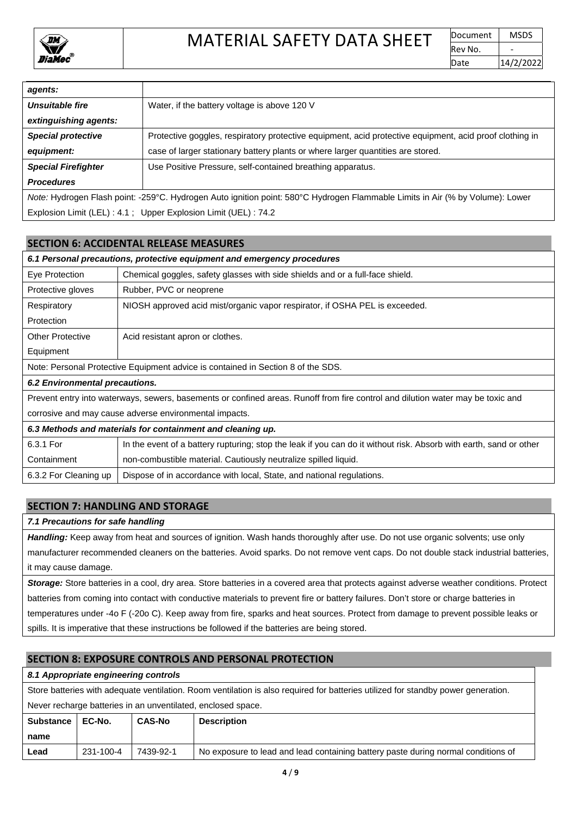

| agents:                    |                                                                                                                               |
|----------------------------|-------------------------------------------------------------------------------------------------------------------------------|
| <b>Unsuitable fire</b>     | Water, if the battery voltage is above 120 V                                                                                  |
| extinguishing agents:      |                                                                                                                               |
| <b>Special protective</b>  | Protective goggles, respiratory protective equipment, acid protective equipment, acid proof clothing in                       |
| equipment:                 | case of larger stationary battery plants or where larger quantities are stored.                                               |
| <b>Special Firefighter</b> | Use Positive Pressure, self-contained breathing apparatus.                                                                    |
| <b>Procedures</b>          |                                                                                                                               |
|                            | Note: Hydrogen Flash point: -259°C. Hydrogen Auto ignition point: 580°C Hydrogen Flammable Limits in Air (% by Volume): Lower |
|                            | Explosion Limit (LEL): 4.1; Upper Explosion Limit (UEL): 74.2                                                                 |

#### **SECTION 6: ACCIDENTAL RELEASE MEASURES**

| 6.1 Personal precautions, protective equipment and emergency procedures                                                         |                                                                                                                    |  |
|---------------------------------------------------------------------------------------------------------------------------------|--------------------------------------------------------------------------------------------------------------------|--|
| Eye Protection                                                                                                                  | Chemical goggles, safety glasses with side shields and or a full-face shield.                                      |  |
| Protective gloves                                                                                                               | Rubber, PVC or neoprene                                                                                            |  |
| Respiratory                                                                                                                     | NIOSH approved acid mist/organic vapor respirator, if OSHA PEL is exceeded.                                        |  |
| Protection                                                                                                                      |                                                                                                                    |  |
| <b>Other Protective</b>                                                                                                         | Acid resistant apron or clothes.                                                                                   |  |
| Equipment                                                                                                                       |                                                                                                                    |  |
| Note: Personal Protective Equipment advice is contained in Section 8 of the SDS.                                                |                                                                                                                    |  |
| 6.2 Environmental precautions.                                                                                                  |                                                                                                                    |  |
| Prevent entry into waterways, sewers, basements or confined areas. Runoff from fire control and dilution water may be toxic and |                                                                                                                    |  |
| corrosive and may cause adverse environmental impacts.                                                                          |                                                                                                                    |  |
| 6.3 Methods and materials for containment and cleaning up.                                                                      |                                                                                                                    |  |
| 6.3.1 For                                                                                                                       | In the event of a battery rupturing; stop the leak if you can do it without risk. Absorb with earth, sand or other |  |
| Containment                                                                                                                     | non-combustible material. Cautiously neutralize spilled liquid.                                                    |  |

#### **SECTION 7: HANDLING AND STORAGE**

#### *7.1 Precautions for safe handling*

*Handling:* Keep away from heat and sources of ignition. Wash hands thoroughly after use. Do not use organic solvents; use only manufacturer recommended cleaners on the batteries. Avoid sparks. Do not remove vent caps. Do not double stack industrial batteries, it may cause damage.

*Storage:* Store batteries in a cool, dry area. Store batteries in a covered area that protects against adverse weather conditions. Protect batteries from coming into contact with conductive materials to prevent fire or battery failures. Don't store or charge batteries in temperatures under -4o F (-20o C). Keep away from fire, sparks and heat sources. Protect from damage to prevent possible leaks or spills. It is imperative that these instructions be followed if the batteries are being stored.

## **SECTION 8: EXPOSURE CONTROLS AND PERSONAL PROTECTION**

6.3.2 For Cleaning up | Dispose of in accordance with local, State, and national regulations.

#### *8.1 Appropriate engineering controls*

Store batteries with adequate ventilation. Room ventilation is also required for batteries utilized for standby power generation. Never recharge batteries in an unventilated, enclosed space.

| Substance  <br>name | EC-No.    | <b>CAS-No</b> | <b>Description</b>                                                                |
|---------------------|-----------|---------------|-----------------------------------------------------------------------------------|
| Lead                | 231-100-4 | 7439-92-1     | No exposure to lead and lead containing battery paste during normal conditions of |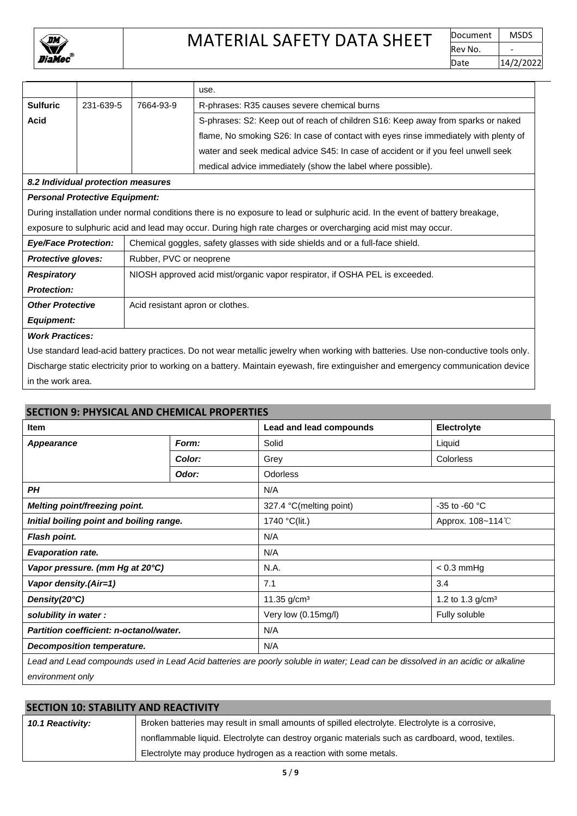

# MATERIAL SAFETY DATA SHEET POCLUMENT MSDS

|                                                                                                                                    |                                       |                                                                               | use.                                                                                                                          |  |
|------------------------------------------------------------------------------------------------------------------------------------|---------------------------------------|-------------------------------------------------------------------------------|-------------------------------------------------------------------------------------------------------------------------------|--|
| <b>Sulfuric</b>                                                                                                                    | 231-639-5                             | 7664-93-9                                                                     | R-phrases: R35 causes severe chemical burns                                                                                   |  |
| <b>Acid</b>                                                                                                                        |                                       |                                                                               | S-phrases: S2: Keep out of reach of children S16: Keep away from sparks or naked                                              |  |
|                                                                                                                                    |                                       |                                                                               | flame, No smoking S26: In case of contact with eyes rinse immediately with plenty of                                          |  |
|                                                                                                                                    |                                       |                                                                               | water and seek medical advice S45: In case of accident or if you feel unwell seek                                             |  |
|                                                                                                                                    |                                       |                                                                               | medical advice immediately (show the label where possible).                                                                   |  |
|                                                                                                                                    | 8.2 Individual protection measures    |                                                                               |                                                                                                                               |  |
|                                                                                                                                    | <b>Personal Protective Equipment:</b> |                                                                               |                                                                                                                               |  |
|                                                                                                                                    |                                       |                                                                               | During installation under normal conditions there is no exposure to lead or sulphuric acid. In the event of battery breakage, |  |
| exposure to sulphuric acid and lead may occur. During high rate charges or overcharging acid mist may occur.                       |                                       |                                                                               |                                                                                                                               |  |
| <b>Eye/Face Protection:</b>                                                                                                        |                                       | Chemical goggles, safety glasses with side shields and or a full-face shield. |                                                                                                                               |  |
| <b>Protective gloves:</b><br>Rubber, PVC or neoprene                                                                               |                                       |                                                                               |                                                                                                                               |  |
| NIOSH approved acid mist/organic vapor respirator, if OSHA PEL is exceeded.<br><b>Respiratory</b>                                  |                                       |                                                                               |                                                                                                                               |  |
| <b>Protection:</b>                                                                                                                 |                                       |                                                                               |                                                                                                                               |  |
| Acid resistant apron or clothes.<br><b>Other Protective</b>                                                                        |                                       |                                                                               |                                                                                                                               |  |
| <b>Equipment:</b>                                                                                                                  |                                       |                                                                               |                                                                                                                               |  |
|                                                                                                                                    | <b>Work Practices:</b>                |                                                                               |                                                                                                                               |  |
| Use standard lead-acid battery practices. Do not wear metallic jewelry when working with batteries. Use non-conductive tools only. |                                       |                                                                               |                                                                                                                               |  |

Discharge static electricity prior to working on a battery. Maintain eyewash, fire extinguisher and emergency communication device in the work area.

### **SECTION 9: PHYSICAL AND CHEMICAL PROPERTIES**

| Item                                     |        | Lead and lead compounds              | Electrolyte        |
|------------------------------------------|--------|--------------------------------------|--------------------|
| <b>Appearance</b>                        | Form:  | Solid                                | Liquid             |
|                                          | Color: | Grey                                 | <b>Colorless</b>   |
|                                          | Odor:  | <b>Odorless</b>                      |                    |
| <b>PH</b>                                |        | N/A                                  |                    |
| Melting point/freezing point.            |        | 327.4 °C(melting point)              | -35 to -60 °C      |
| Initial boiling point and boiling range. |        | 1740 °C(lit.)                        | Approx. 108~114°C  |
| Flash point.                             |        | N/A                                  |                    |
| <b>Evaporation rate.</b>                 |        | N/A                                  |                    |
| Vapor pressure. (mm Hg at 20°C)          |        | N.A.                                 | $< 0.3$ mmHg       |
| Vapor density.(Air=1)                    |        | 7.1                                  | 3.4                |
| Density(20°C)                            |        | 11.35 $g/cm3$                        | 1.2 to 1.3 $g/cm3$ |
| solubility in water:                     |        | Very low (0.15mg/l)<br>Fully soluble |                    |
| Partition coefficient: n-octanol/water.  |        | N/A                                  |                    |
| Decomposition temperature.               |        | N/A                                  |                    |

*Lead and Lead compounds used in Lead Acid batteries are poorly soluble in water; Lead can be dissolved in an acidic or alkaline environment only*

| <b>SECTION 10: STABILITY AND REACTIVITY</b> |                                                                                                   |  |
|---------------------------------------------|---------------------------------------------------------------------------------------------------|--|
| 10.1 Reactivity:                            | Broken batteries may result in small amounts of spilled electrolyte. Electrolyte is a corrosive,  |  |
|                                             | nonflammable liquid. Electrolyte can destroy organic materials such as cardboard, wood, textiles. |  |
|                                             | Electrolyte may produce hydrogen as a reaction with some metals.                                  |  |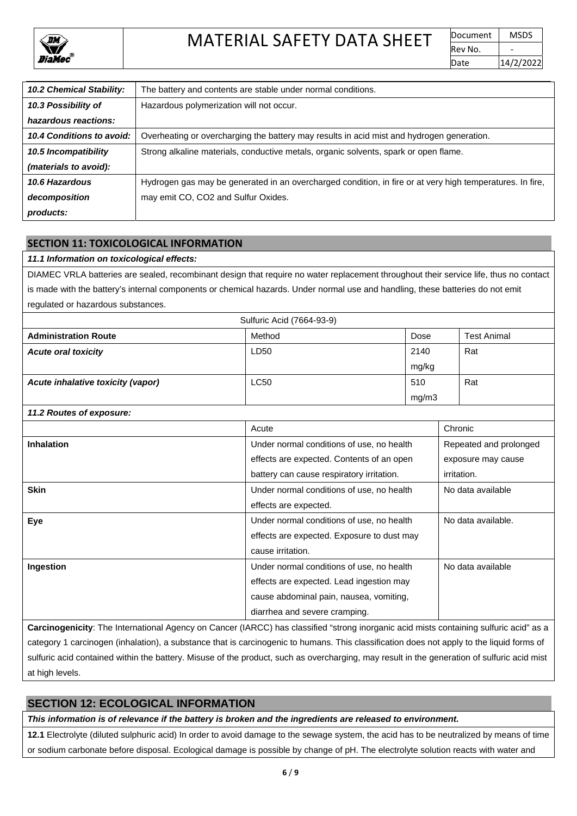

| <b>10.2 Chemical Stability:</b> | The battery and contents are stable under normal conditions.                                              |
|---------------------------------|-----------------------------------------------------------------------------------------------------------|
| 10.3 Possibility of             | Hazardous polymerization will not occur.                                                                  |
| hazardous reactions:            |                                                                                                           |
| 10.4 Conditions to avoid:       | Overheating or overcharging the battery may results in acid mist and hydrogen generation.                 |
| 10.5 Incompatibility            | Strong alkaline materials, conductive metals, organic solvents, spark or open flame.                      |
| (materials to avoid):           |                                                                                                           |
| 10.6 Hazardous                  | Hydrogen gas may be generated in an overcharged condition, in fire or at very high temperatures. In fire, |
| decomposition                   | may emit CO, CO2 and Sulfur Oxides.                                                                       |
| products:                       |                                                                                                           |

## **SECTION 11: TOXICOLOGICAL INFORMATION**

#### *11.1 Information on toxicological effects:*

DIAMEC VRLA batteries are sealed, recombinant design that require no water replacement throughout their service life, thus no contact is made with the battery's internal components or chemical hazards. Under normal use and handling, these batteries do not emit regulated or hazardous substances.

| Sulfuric Acid (7664-93-9)         |             |       |                    |
|-----------------------------------|-------------|-------|--------------------|
| <b>Administration Route</b>       | Method      | Dose  | <b>Test Animal</b> |
| <b>Acute oral toxicity</b>        | LD50        | 2140  | Rat                |
|                                   |             | mg/kg |                    |
| Acute inhalative toxicity (vapor) | <b>LC50</b> | 510   | Rat                |
|                                   |             | mg/m3 |                    |

#### *11.2 Routes of exposure:*

|                   | Acute                                      | Chronic                |
|-------------------|--------------------------------------------|------------------------|
| <b>Inhalation</b> | Under normal conditions of use, no health  | Repeated and prolonged |
|                   | effects are expected. Contents of an open  | exposure may cause     |
|                   | battery can cause respiratory irritation.  | irritation.            |
| <b>Skin</b>       | Under normal conditions of use, no health  | No data available      |
|                   | effects are expected.                      |                        |
| Eye               | Under normal conditions of use, no health  | No data available.     |
|                   | effects are expected. Exposure to dust may |                        |
|                   | cause irritation.                          |                        |
| Ingestion         | Under normal conditions of use, no health  | No data available      |
|                   | effects are expected. Lead ingestion may   |                        |
|                   | cause abdominal pain, nausea, vomiting,    |                        |
|                   | diarrhea and severe cramping.              |                        |

**Carcinogenicity**: The International Agency on Cancer (IARCC) has classified "strong inorganic acid mists containing sulfuric acid" as a category 1 carcinogen (inhalation), a substance that is carcinogenic to humans. This classification does not apply to the liquid forms of sulfuric acid contained within the battery. Misuse of the product, such as overcharging, may result in the generation of sulfuric acid mist at high levels.

## **SECTION 12: ECOLOGICAL INFORMATION**

*This information is of relevance if the battery is broken and the ingredients are released to environment.*

**12.1** Electrolyte (diluted sulphuric acid) In order to avoid damage to the sewage system, the acid has to be neutralized by means of time or sodium carbonate before disposal. Ecological damage is possible by change of pH. The electrolyte solution reacts with water and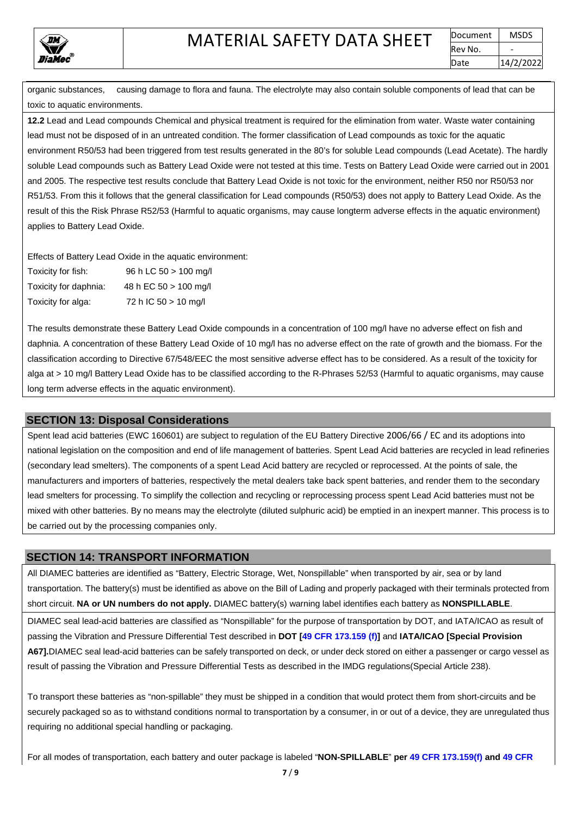

organic substances, causing damage to flora and fauna. The electrolyte may also contain soluble components of lead that can be toxic to aquatic environments.

**12.2** Lead and Lead compounds Chemical and physical treatment is required for the elimination from water. Waste water containing lead must not be disposed of in an untreated condition. The former classification of Lead compounds as toxic for the aquatic environment R50/53 had been triggered from test results generated in the 80's for soluble Lead compounds (Lead Acetate). The hardly soluble Lead compounds such as Battery Lead Oxide were not tested at this time. Tests on Battery Lead Oxide were carried out in 2001 and 2005. The respective test results conclude that Battery Lead Oxide is not toxic for the environment, neither R50 nor R50/53 nor R51/53. From this it follows that the general classification for Lead compounds (R50/53) does not apply to Battery Lead Oxide. As the result of this the Risk Phrase R52/53 (Harmful to aquatic organisms, may cause longterm adverse effects in the aquatic environment) applies to Battery Lead Oxide.

Effects of Battery Lead Oxide in the aquatic environment:

| Toxicity for fish:    | 96 h LC 50 > 100 mg/l  |
|-----------------------|------------------------|
| Toxicity for daphnia: | 48 h EC 50 > 100 mg/l  |
| Toxicity for alga:    | 72 h IC $50 > 10$ mg/l |

The results demonstrate these Battery Lead Oxide compounds in a concentration of 100 mg/l have no adverse effect on fish and daphnia. A concentration of these Battery Lead Oxide of 10 mg/l has no adverse effect on the rate of growth and the biomass. For the classification according to Directive 67/548/EEC the most sensitive adverse effect has to be considered. As a result of the toxicity for alga at > 10 mg/l Battery Lead Oxide has to be classified according to the R-Phrases 52/53 (Harmful to aquatic organisms, may cause long term adverse effects in the aquatic environment).

## **SECTION 13: Disposal Considerations**

Spent lead acid batteries (EWC 160601) are subject to regulation of the EU Battery Directive 2006/66 / EC and its adoptions into national legislation on the composition and end of life management of batteries. Spent Lead Acid batteries are recycled in lead refineries (secondary lead smelters). The components of a spent Lead Acid battery are recycled or reprocessed. At the points of sale, the manufacturers and importers of batteries, respectively the metal dealers take back spent batteries, and render them to the secondary lead smelters for processing. To simplify the collection and recycling or reprocessing process spent Lead Acid batteries must not be mixed with other batteries. By no means may the electrolyte (diluted sulphuric acid) be emptied in an inexpert manner. This process is to be carried out by the processing companies only.

## **SECTION 14: TRANSPORT INFORMATION**

All DIAMEC batteries are identified as "Battery, Electric Storage, Wet, Nonspillable" when transported by air, sea or by land transportation. The battery(s) must be identified as above on the Bill of Lading and properly packaged with their terminals protected from short circuit. **NA or UN numbers do not apply.** DIAMEC battery(s) warning label identifies each battery as **NONSPILLABLE**.

DIAMEC seal lead-acid batteries are classified as "Nonspillable" for the purpose of transportation by DOT, and IATA/ICAO as result of passing the Vibration and Pressure Differential Test described in **DOT [49 CFR 173.159 (f)]** and **IATA/ICAO [Special Provision A67].**DIAMEC seal lead-acid batteries can be safely transported on deck, or under deck stored on either a passenger or cargo vessel as result of passing the Vibration and Pressure Differential Tests as described in the IMDG regulations(Special Article 238).

To transport these batteries as "non-spillable" they must be shipped in a condition that would protect them from short-circuits and be securely packaged so as to withstand conditions normal to transportation by a consumer, in or out of a device, they are unregulated thus requiring no additional special handling or packaging.

For all modes of transportation, each battery and outer package is labeled "**NON-SPILLABLE**" **per 49 CFR 173.159(f) and 49 CFR**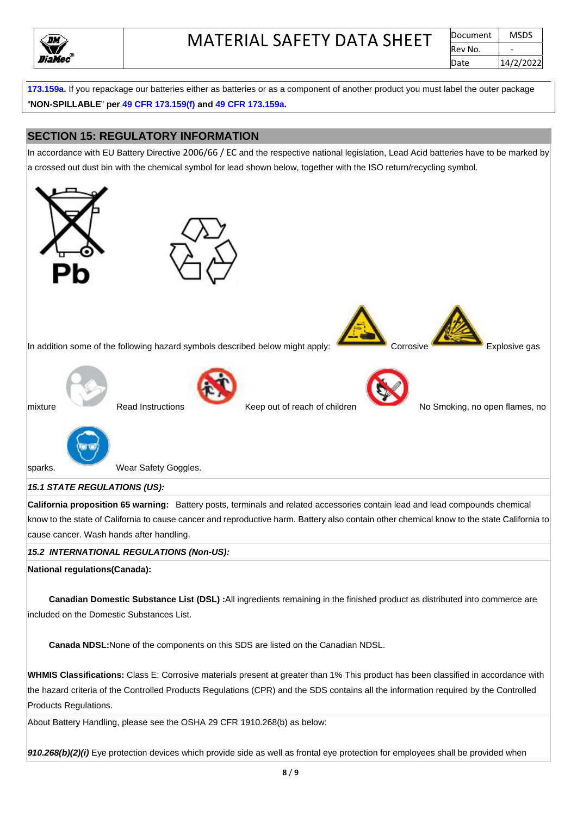

**173.159a.** If you repackage our batteries either as batteries or as a component of another product you must label the outer package "**NON-SPILLABLE**" **per 49 CFR 173.159(f) and 49 CFR 173.159a.**

## **SECTION 15: REGULATORY INFORMATION**

In accordance with EU Battery Directive 2006/66 / EC and the respective national legislation, Lead Acid batteries have to be marked by a crossed out dust bin with the chemical symbol for lead shown below, together with the ISO return/recycling symbol.



#### *15.1 STATE REGULATIONS (US):*

**California proposition 65 warning:** Battery posts, terminals and related accessories contain lead and lead compounds chemical know to the state of California to cause cancer and reproductive harm. Battery also contain other chemical know to the state California to cause cancer. Wash hands after handling.

#### *15.2 INTERNATIONAL REGULATIONS (Non-US):*

**National regulations(Canada):**

 **Canadian Domestic Substance List (DSL) :**All ingredients remaining in the finished product as distributed into commerce are included on the Domestic Substances List.

 **Canada NDSL:**None of the components on this SDS are listed on the Canadian NDSL.

**WHMIS Classifications:** Class E: Corrosive materials present at greater than 1% This product has been classified in accordance with the hazard criteria of the Controlled Products Regulations (CPR) and the SDS contains all the information required by the Controlled Products Regulations.

About Battery Handling, please see the OSHA 29 CFR 1910.268(b) as below:

*910.268(b)(2)(i)* Eye protection devices which provide side as well as frontal eye protection for employees shall be provided when